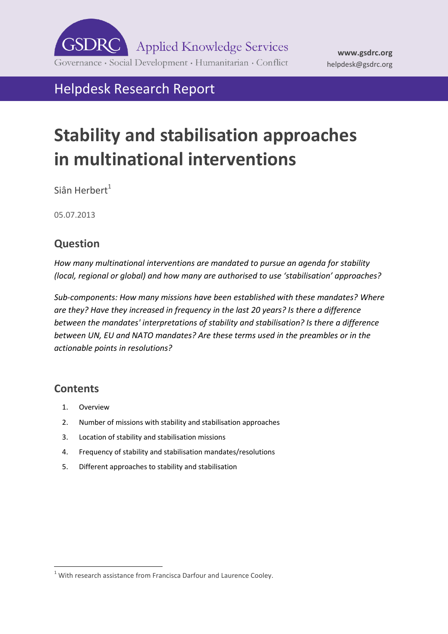

## Helpdesk Research Report

# **Stability and stabilisation approaches in multinational interventions**

Siân Herbert $<sup>1</sup>$ </sup>

05.07.2013

## **Question**

*How many multinational interventions are mandated to pursue an agenda for stability (local, regional or global) and how many are authorised to use 'stabilisation' approaches?*

*Sub-components: How many missions have been established with these mandates? Where are they? Have they increased in frequency in the last 20 years? Is there a difference between the mandates' interpretations of stability and stabilisation? Is there a difference between UN, EU and NATO mandates? Are these terms used in the preambles or in the actionable points in resolutions?*

## **Contents**

- 1. [Overview](#page-1-0)
- 2. [Number of missions with stability and stabilisation approaches](#page-3-0)
- 3. [Location of stability and stabilisation missions](#page-3-1)
- 4. [Frequency of stability and stabilisation mandates/resolutions](#page-4-0)
- 5. [Different approaches to stability and stabilisation](#page-6-0)

 $1$  With research assistance from Francisca Darfour and Laurence Cooley.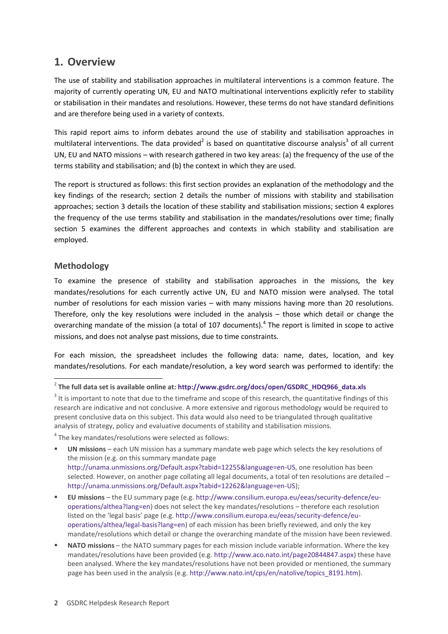### <span id="page-1-0"></span>**1. Overview**

The use of stability and stabilisation approaches in multilateral interventions is a common feature. The majority of currently operating UN, EU and NATO multinational interventions explicitly refer to stability or stabilisation in their mandates and resolutions. However, these terms do not have standard definitions and are therefore being used in a variety of contexts.

This rapid report aims to inform debates around the use of stability and stabilisation approaches in multilateral interventions. The data provided<sup>2</sup> is based on quantitative discourse analysis<sup>3</sup> of all current UN, EU and NATO missions – with research gathered in two key areas: (a) the frequency of the use of the terms stability and stabilisation; and (b) the context in which they are used.

The report is structured as follows: this first section provides an explanation of the methodology and the key findings of the research; section 2 details the number of missions with stability and stabilisation approaches; section 3 details the location of these stability and stabilisation missions; section 4 explores the frequency of the use terms stability and stabilisation in the mandates/resolutions over time; finally section 5 examines the different approaches and contexts in which stability and stabilisation are employed.

#### **Methodology**

**.** 

To examine the presence of stability and stabilisation approaches in the missions, the key mandates/resolutions for each currently active UN, EU and NATO mission were analysed. The total number of resolutions for each mission varies – with many missions having more than 20 resolutions. Therefore, only the key resolutions were included in the analysis – those which detail or change the overarching mandate of the mission (a total of 107 documents). $<sup>4</sup>$  The report is limited in scope to active</sup> missions, and does not analyse past missions, due to time constraints.

For each mission, the spreadsheet includes the following data: name, dates, location, and key mandates/resolutions. For each mandate/resolution, a key word search was performed to identify: the

<sup>4</sup> The key mandates/resolutions were selected as follows:

- **UN missions** each UN mission has a summary mandate web page which selects the key resolutions of the mission (e.g. on this summary mandate page [http://unama.unmissions.org/Default.aspx?tabid=12255&language=en-US,](http://unama.unmissions.org/Default.aspx?tabid=12255&language=en-US) one resolution has been selected. However, on another page collating all legal documents, a total of ten resolutions are detailed [http://unama.unmissions.org/Default.aspx?tabid=12262&language=en-US\)](http://unama.unmissions.org/Default.aspx?tabid=12262&language=en-US);
- **EU missions** the EU summary page (e.g[. http://www.consilium.europa.eu/eeas/security-defence/eu](http://www.consilium.europa.eu/eeas/security-defence/eu-operations/althea?lang=en)[operations/althea?lang=en\)](http://www.consilium.europa.eu/eeas/security-defence/eu-operations/althea?lang=en) does not select the key mandates/resolutions – therefore each resolution listed on the 'legal basis' page (e.g. [http://www.consilium.europa.eu/eeas/security-defence/eu](http://www.consilium.europa.eu/eeas/security-defence/eu-operations/althea/legal-basis?lang=en)[operations/althea/legal-basis?lang=en\)](http://www.consilium.europa.eu/eeas/security-defence/eu-operations/althea/legal-basis?lang=en) of each mission has been briefly reviewed, and only the key mandate/resolutions which detail or change the overarching mandate of the mission have been reviewed.
- **NATO missions** the NATO summary pages for each mission include variable information. Where the key mandates/resolutions have been provided (e.g[. http://www.aco.nato.int/page20844847.aspx\)](http://www.aco.nato.int/page20844847.aspx) these have been analysed. Where the key mandates/resolutions have not been provided or mentioned, the summary page has been used in the analysis (e.g. [http://www.nato.int/cps/en/natolive/topics\\_8191.htm\)](http://www.nato.int/cps/en/natolive/topics_8191.htm).

<sup>2</sup> **The full data set is available online at[: http://www.gsdrc.org/docs/open/GSDRC\\_HDQ966\\_data.xls](http://www.gsdrc.org/docs/open/GSDRC_HDQ966_data.xls)**

 $3$  It is important to note that due to the timeframe and scope of this research, the quantitative findings of this research are indicative and not conclusive. A more extensive and rigorous methodology would be required to present conclusive data on this subject. This data would also need to be triangulated through qualitative analysis of strategy, policy and evaluative documents of stability and stabilisation missions.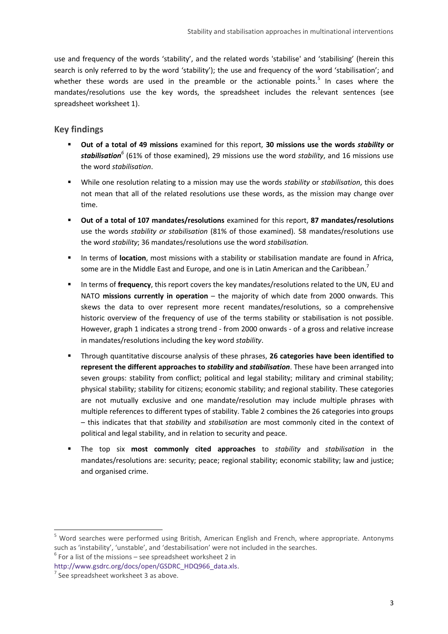use and frequency of the words 'stability', and the related words 'stabilise' and 'stabilising' (herein this search is only referred to by the word 'stability'); the use and frequency of the word 'stabilisation'; and whether these words are used in the preamble or the actionable points.<sup>5</sup> In cases where the mandates/resolutions use the key words, the spreadsheet includes the relevant sentences (see spreadsheet worksheet 1).

#### **Key findings**

- **Out of a total of 49 missions** examined for this report, **30 missions use the words** *stability* **or** *stabilisation<sup>6</sup>* (61% of those examined), 29 missions use the word *stability*, and 16 missions use the word *stabilisation*.
- While one resolution relating to a mission may use the words *stability* or *stabilisation*, this does not mean that all of the related resolutions use these words, as the mission may change over time.
- **Out of a total of 107 mandates/resolutions** examined for this report, **87 mandates/resolutions** use the words *stability or stabilisation* (81% of those examined)*.* 58 mandates/resolutions use the word *stability*; 36 mandates/resolutions use the word *stabilisation.*
- In terms of **location**, most missions with a stability or stabilisation mandate are found in Africa, some are in the Middle East and Europe, and one is in Latin American and the Caribbean.<sup>7</sup>
- In terms of **frequency**, this report covers the key mandates/resolutions related to the UN, EU and NATO **missions currently in operation** – the majority of which date from 2000 onwards. This skews the data to over represent more recent mandates/resolutions, so a comprehensive historic overview of the frequency of use of the terms stability or stabilisation is not possible. However, graph 1 indicates a strong trend - from 2000 onwards - of a gross and relative increase in mandates/resolutions including the key word *stability*.
- Through quantitative discourse analysis of these phrases, **26 categories have been identified to represent the different approaches to** *stability* **and** *stabilisation*. These have been arranged into seven groups: stability from conflict; political and legal stability; military and criminal stability; physical stability; stability for citizens; economic stability; and regional stability. These categories are not mutually exclusive and one mandate/resolution may include multiple phrases with multiple references to different types of stability. Table 2 combines the 26 categories into groups – this indicates that that *stability* and *stabilisation* are most commonly cited in the context of political and legal stability, and in relation to security and peace.
- The top six **most commonly cited approaches** to *stability* and *stabilisation* in the mandates/resolutions are: security; peace; regional stability; economic stability; law and justice; and organised crime.

<sup>5</sup> Word searches were performed using British, American English and French, where appropriate. Antonyms such as 'instability', 'unstable', and 'destabilisation' were not included in the searches.

 $6$  For a list of the missions – see spreadsheet worksheet 2 in

[http://www.gsdrc.org/docs/open/GSDRC\\_HDQ966\\_data.xls.](http://www.gsdrc.org/docs/open/GSDRC_HDQ966_data.xls)

 $7$  See spreadsheet worksheet 3 as above.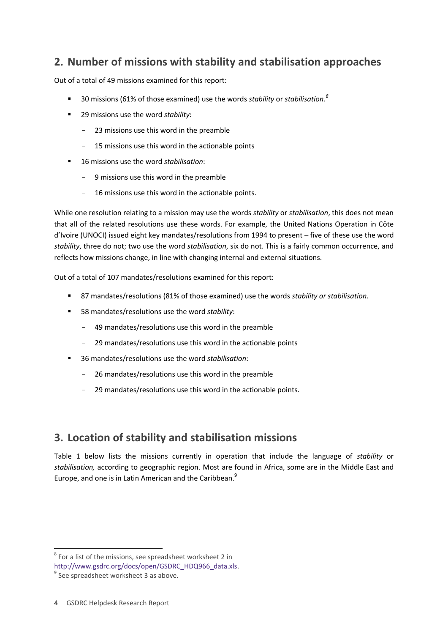## <span id="page-3-0"></span>**2. Number of missions with stability and stabilisation approaches**

Out of a total of 49 missions examined for this report:

- 30 missions (61% of those examined) use the words *stability* or *stabilisation. 8*
- 29 missions use the word *stability*:
	- 23 missions use this word in the preamble
	- 15 missions use this word in the actionable points
- 16 missions use the word *stabilisation*:
	- 9 missions use this word in the preamble
	- 16 missions use this word in the actionable points.

While one resolution relating to a mission may use the words *stability* or *stabilisation*, this does not mean that all of the related resolutions use these words. For example, the United Nations Operation in Côte d'Ivoire (UNOCI) issued eight key mandates/resolutions from 1994 to present – five of these use the word *stability*, three do not; two use the word *stabilisation*, six do not. This is a fairly common occurrence, and reflects how missions change, in line with changing internal and external situations.

Out of a total of 107 mandates/resolutions examined for this report:

- 87 mandates/resolutions (81% of those examined) use the words *stability or stabilisation.*
- 58 mandates/resolutions use the word *stability*:
	- 49 mandates/resolutions use this word in the preamble
	- 29 mandates/resolutions use this word in the actionable points
- 36 mandates/resolutions use the word *stabilisation*:
	- 26 mandates/resolutions use this word in the preamble
	- 29 mandates/resolutions use this word in the actionable points.

## <span id="page-3-1"></span>**3. Location of stability and stabilisation missions**

Table 1 below lists the missions currently in operation that include the language of *stability* or *stabilisation,* according to geographic region. Most are found in Africa, some are in the Middle East and Europe, and one is in Latin American and the Caribbean.<sup>9</sup>

 $8$  For a list of the missions, see spreadsheet worksheet 2 in

[http://www.gsdrc.org/docs/open/GSDRC\\_HDQ966\\_data.xls.](http://www.gsdrc.org/docs/open/GSDRC_HDQ966_data.xls)

<sup>&</sup>lt;sup>9</sup> See spreadsheet worksheet 3 as above.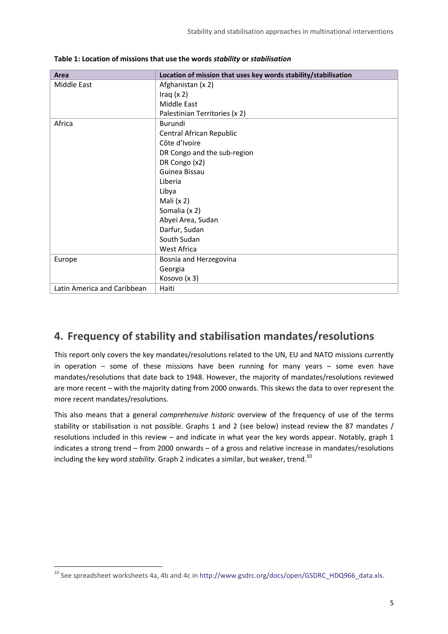| Area                        | Location of mission that uses key words stability/stabilisation |
|-----------------------------|-----------------------------------------------------------------|
| <b>Middle East</b>          | Afghanistan (x 2)                                               |
|                             | Iraq $(x 2)$                                                    |
|                             | Middle East                                                     |
|                             | Palestinian Territories (x 2)                                   |
| Africa                      | Burundi                                                         |
|                             | Central African Republic                                        |
|                             | Côte d'Ivoire                                                   |
|                             | DR Congo and the sub-region                                     |
|                             | DR Congo (x2)                                                   |
|                             | Guinea Bissau                                                   |
|                             | Liberia                                                         |
|                             | Libya                                                           |
|                             | Mali $(x 2)$                                                    |
|                             | Somalia (x 2)                                                   |
|                             | Abyei Area, Sudan                                               |
|                             | Darfur, Sudan                                                   |
|                             | South Sudan                                                     |
|                             | West Africa                                                     |
| Europe                      | Bosnia and Herzegovina                                          |
|                             | Georgia                                                         |
|                             | Kosovo (x 3)                                                    |
| Latin America and Caribbean | Haiti                                                           |

**Table 1: Location of missions that use the words** *stability* **or** *stabilisation*

## <span id="page-4-0"></span>**4. Frequency of stability and stabilisation mandates/resolutions**

This report only covers the key mandates/resolutions related to the UN, EU and NATO missions currently in operation – some of these missions have been running for many years – some even have mandates/resolutions that date back to 1948. However, the majority of mandates/resolutions reviewed are more recent – with the majority dating from 2000 onwards. This skews the data to over represent the more recent mandates/resolutions.

This also means that a general *comprehensive historic* overview of the frequency of use of the terms stability or stabilisation is not possible. Graphs 1 and 2 (see below) instead review the 87 mandates / resolutions included in this review – and indicate in what year the key words appear. Notably, graph 1 indicates a strong trend – from 2000 onwards – of a gross and relative increase in mandates/resolutions including the key word *stability*. Graph 2 indicates a similar, but weaker, trend.<sup>10</sup>

<sup>10</sup> See spreadsheet worksheets 4a, 4b and 4c i[n http://www.gsdrc.org/docs/open/GSDRC\\_HDQ966\\_data.xls.](http://www.gsdrc.org/docs/open/GSDRC_HDQ966_data.xls)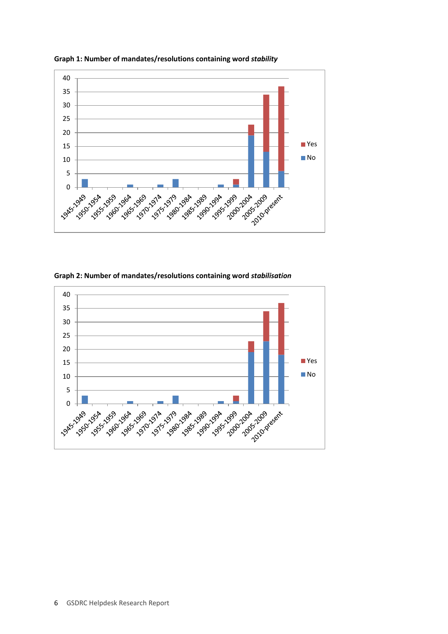

**Graph 1: Number of mandates/resolutions containing word** *stability*

**Graph 2: Number of mandates/resolutions containing word** *stabilisation*

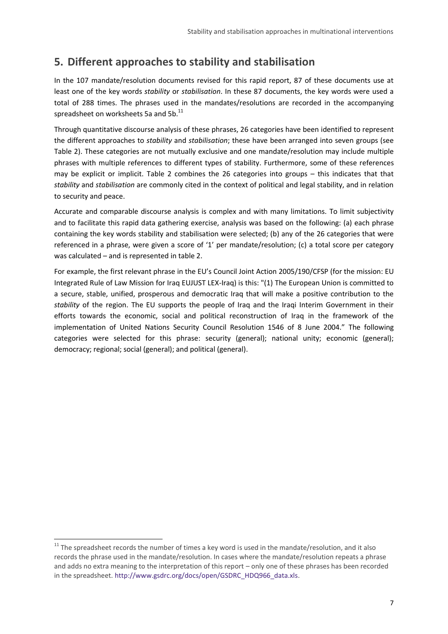## <span id="page-6-0"></span>**5. Different approaches to stability and stabilisation**

In the 107 mandate/resolution documents revised for this rapid report, 87 of these documents use at least one of the key words *stability* or *stabilisation*. In these 87 documents, the key words were used a total of 288 times. The phrases used in the mandates/resolutions are recorded in the accompanying spreadsheet on worksheets 5a and 5b.<sup>11</sup>

Through quantitative discourse analysis of these phrases, 26 categories have been identified to represent the different approaches to *stability* and *stabilisation*; these have been arranged into seven groups (see Table 2). These categories are not mutually exclusive and one mandate/resolution may include multiple phrases with multiple references to different types of stability. Furthermore, some of these references may be explicit or implicit. Table 2 combines the 26 categories into groups – this indicates that that *stability* and *stabilisation* are commonly cited in the context of political and legal stability, and in relation to security and peace.

Accurate and comparable discourse analysis is complex and with many limitations. To limit subjectivity and to facilitate this rapid data gathering exercise, analysis was based on the following: (a) each phrase containing the key words stability and stabilisation were selected; (b) any of the 26 categories that were referenced in a phrase, were given a score of '1' per mandate/resolution; (c) a total score per category was calculated – and is represented in table 2.

For example, the first relevant phrase in the EU's Council Joint Action 2005/190/CFSP (for the mission: EU Integrated Rule of Law Mission for Iraq EUJUST LEX-Iraq) is this: "(1) The European Union is committed to a secure, stable, unified, prosperous and democratic Iraq that will make a positive contribution to the *stability* of the region. The EU supports the people of Iraq and the Iraqi Interim Government in their efforts towards the economic, social and political reconstruction of Iraq in the framework of the implementation of United Nations Security Council Resolution 1546 of 8 June 2004." The following categories were selected for this phrase: security (general); national unity; economic (general); democracy; regional; social (general); and political (general).

 $11$  The spreadsheet records the number of times a key word is used in the mandate/resolution, and it also records the phrase used in the mandate/resolution. In cases where the mandate/resolution repeats a phrase and adds no extra meaning to the interpretation of this report – only one of these phrases has been recorded in the spreadsheet[. http://www.gsdrc.org/docs/open/GSDRC\\_HDQ966\\_data.xls.](http://www.gsdrc.org/docs/open/GSDRC_HDQ966_data.xls)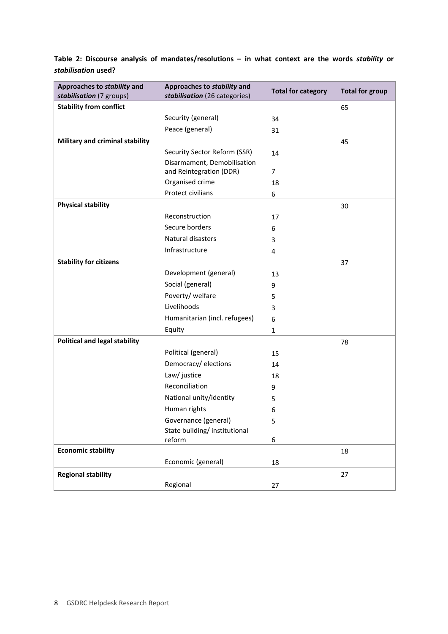**Table 2: Discourse analysis of mandates/resolutions – in what context are the words** *stability* **or**  *stabilisation* **used?**

| Approaches to stability and<br>stabilisation (7 groups) | Approaches to stability and<br>stabilisation (26 categories) | <b>Total for category</b> | <b>Total for group</b> |
|---------------------------------------------------------|--------------------------------------------------------------|---------------------------|------------------------|
| <b>Stability from conflict</b>                          |                                                              |                           | 65                     |
|                                                         | Security (general)                                           | 34                        |                        |
|                                                         | Peace (general)                                              | 31                        |                        |
| Military and criminal stability                         |                                                              |                           | 45                     |
|                                                         | Security Sector Reform (SSR)                                 | 14                        |                        |
|                                                         | Disarmament, Demobilisation                                  |                           |                        |
|                                                         | and Reintegration (DDR)                                      | 7                         |                        |
|                                                         | Organised crime                                              | 18                        |                        |
|                                                         | Protect civilians                                            | 6                         |                        |
| <b>Physical stability</b>                               |                                                              |                           | 30                     |
|                                                         | Reconstruction                                               | 17                        |                        |
|                                                         | Secure borders                                               | 6                         |                        |
|                                                         | Natural disasters                                            | 3                         |                        |
|                                                         | Infrastructure                                               | 4                         |                        |
| <b>Stability for citizens</b>                           |                                                              |                           | 37                     |
|                                                         | Development (general)                                        | 13                        |                        |
|                                                         | Social (general)                                             | 9                         |                        |
|                                                         | Poverty/ welfare                                             | 5                         |                        |
|                                                         | Livelihoods                                                  | 3                         |                        |
|                                                         | Humanitarian (incl. refugees)                                | 6                         |                        |
|                                                         | Equity                                                       | 1                         |                        |
| <b>Political and legal stability</b>                    |                                                              |                           | 78                     |
|                                                         | Political (general)                                          | 15                        |                        |
|                                                         | Democracy/elections                                          | 14                        |                        |
|                                                         | Law/ justice                                                 | 18                        |                        |
|                                                         | Reconciliation                                               | 9                         |                        |
|                                                         | National unity/identity                                      | 5                         |                        |
|                                                         | Human rights                                                 | 6                         |                        |
|                                                         | Governance (general)                                         | 5                         |                        |
|                                                         | State building/institutional                                 |                           |                        |
|                                                         | reform                                                       | 6                         |                        |
| <b>Economic stability</b>                               |                                                              |                           | 18                     |
|                                                         | Economic (general)                                           | 18                        |                        |
| <b>Regional stability</b>                               |                                                              |                           | 27                     |
|                                                         | Regional                                                     | 27                        |                        |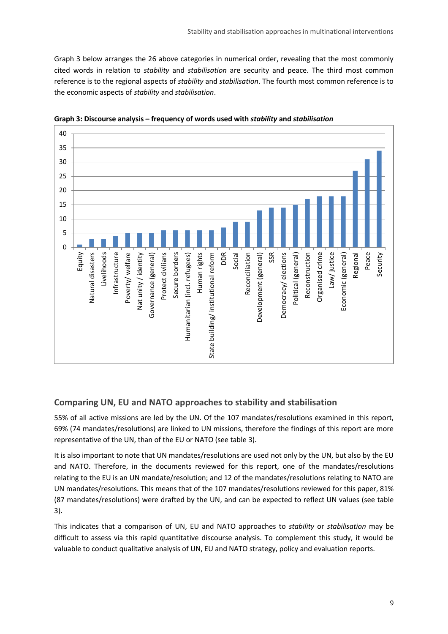Graph 3 below arranges the 26 above categories in numerical order, revealing that the most commonly cited words in relation to *stability* and *stabilisation* are security and peace. The third most common reference is to the regional aspects of *stability* and *stabilisation*. The fourth most common reference is to the economic aspects of *stability* and *stabilisation*.



**Graph 3: Discourse analysis – frequency of words used with** *stability* **and** *stabilisation*

#### **Comparing UN, EU and NATO approaches to stability and stabilisation**

55% of all active missions are led by the UN. Of the 107 mandates/resolutions examined in this report, 69% (74 mandates/resolutions) are linked to UN missions, therefore the findings of this report are more representative of the UN, than of the EU or NATO (see table 3).

It is also important to note that UN mandates/resolutions are used not only by the UN, but also by the EU and NATO. Therefore, in the documents reviewed for this report, one of the mandates/resolutions relating to the EU is an UN mandate/resolution; and 12 of the mandates/resolutions relating to NATO are UN mandates/resolutions. This means that of the 107 mandates/resolutions reviewed for this paper, 81% (87 mandates/resolutions) were drafted by the UN, and can be expected to reflect UN values (see table 3).

This indicates that a comparison of UN, EU and NATO approaches to *stability* or *stabilisation* may be difficult to assess via this rapid quantitative discourse analysis. To complement this study, it would be valuable to conduct qualitative analysis of UN, EU and NATO strategy, policy and evaluation reports.